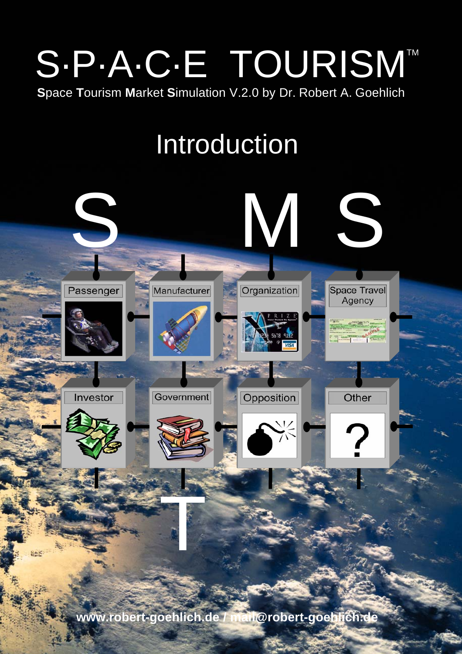## S.P.A.C.E TOURISMT Space Tourism Market Simulation V.2.0 by Dr. Robert A. Goehlich

Introduction

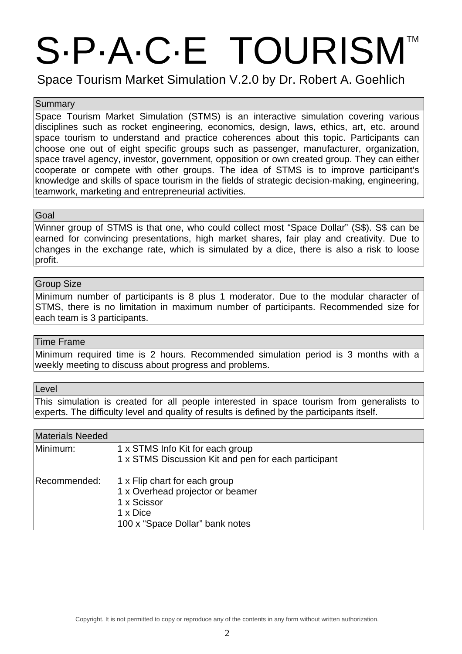# S.P.A.C.E TOURISM

Space Tourism Market Simulation V.2.0 by Dr. Robert A. Goehlich

#### **Summary**

Space Tourism Market Simulation (STMS) is an interactive simulation covering various disciplines such as rocket engineering, economics, design, laws, ethics, art, etc. around space tourism to understand and practice coherences about this topic. Participants can choose one out of eight specific groups such as passenger, manufacturer, organization, space travel agency, investor, government, opposition or own created group. They can either cooperate or compete with other groups. The idea of STMS is to improve participant's knowledge and skills of space tourism in the fields of strategic decision-making, engineering, teamwork, marketing and entrepreneurial activities.

#### Goal

Winner group of STMS is that one, who could collect most "Space Dollar" (S\$). S\$ can be earned for convincing presentations, high market shares, fair play and creativity. Due to changes in the exchange rate, which is simulated by a dice, there is also a risk to loose profit.

#### Group Size

Minimum number of participants is 8 plus 1 moderator. Due to the modular character of STMS, there is no limitation in maximum number of participants. Recommended size for each team is 3 participants.

#### Time Frame

Minimum required time is 2 hours. Recommended simulation period is 3 months with a weekly meeting to discuss about progress and problems.

#### Level

This simulation is created for all people interested in space tourism from generalists to experts. The difficulty level and quality of results is defined by the participants itself.

#### Materials Needed

| πικιαισπαιο πισσασα |                                                                                                                                 |
|---------------------|---------------------------------------------------------------------------------------------------------------------------------|
| Minimum:            | 1 x STMS Info Kit for each group<br>1 x STMS Discussion Kit and pen for each participant                                        |
| Recommended:        | 1 x Flip chart for each group<br>1 x Overhead projector or beamer<br>1 x Scissor<br>1 x Dice<br>100 x "Space Dollar" bank notes |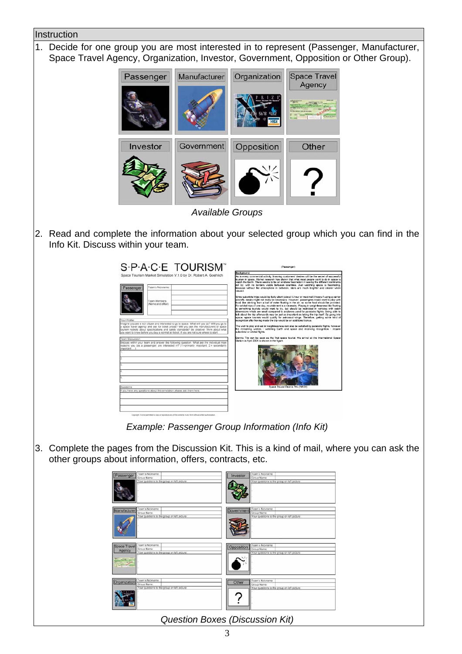### **Instruction** 1. Decide for one group you are most interested in to represent (Passenger, Manufacturer, Space Travel Agency, Organization, Investor, Government, Opposition or Other Group). Manufacturer Organization Space Travel Passenger Agency Investor Government Opposition Other *Available Groups* 2. Read and complete the information about your selected group which you can find in the Info Kit. Discuss within your team. S-P-A-C-E TOURISM" V.1.0 by Dr. Robert A. ich olizen and interested to go to space. What will you<br>roy and ask for ticket prices? Will you ask the man<br>out specifications and safety standards? Be creative<br>efore you buy a normal air ticket, if you are not sure w ithin your team and answer the following question. What are the in *Example: Passenger Group Information (Info Kit)* 3. Complete the pages from the Discussion Kit. This is a kind of mail, where you can ask the other groups about information, offers, contracts, etc. am's Nickname: Oppo am's Nickname: Other Team's Nickname:

*Question Boxes (Discussion Kit)* 

?